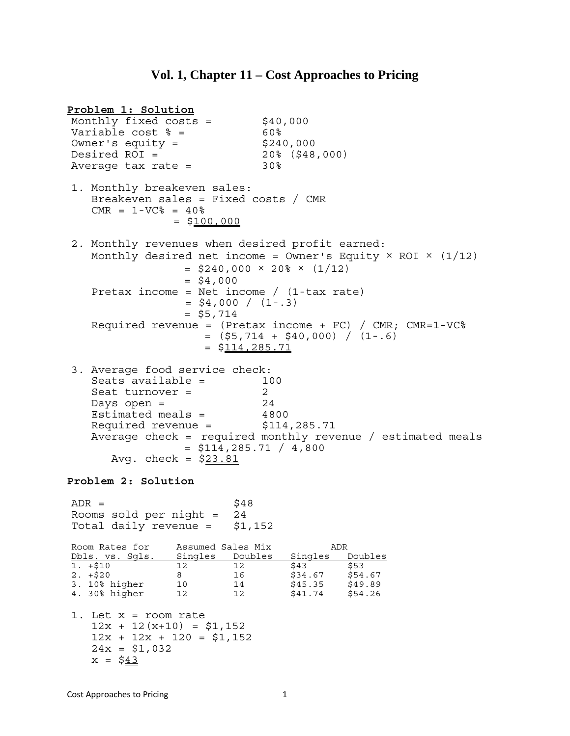## **Vol. 1, Chapter 11 – Cost Approaches to Pricing**

**Problem 1: Solution** Monthly fixed costs =  $$40,000$ Variable cost  $\frac{1}{60}$  = 60% Owner's equity =  $$240,000$  $Desired ROI = 20% (548,000)$ Average tax rate  $=$  30% 1. Monthly breakeven sales: Breakeven sales = Fixed costs / CMR  $CMR = 1-VC<sup>o</sup> = 40<sup>o</sup>$  $= $100,000$ 2. Monthly revenues when desired profit earned: Monthly desired net income = Owner's Equity  $\times$  ROI  $\times$  (1/12)  $=$  \$240,000  $\times$  20%  $\times$  (1/12)  $=$  \$4,000 Pretax income = Net income /  $(1 - tax rate)$  $=$  \$4,000 /  $(1-.3)$  $=$  \$5,714 Required revenue = (Pretax income +  $FC$ ) / CMR; CMR=1-VC%  $=$  (\$5,714 + \$40,000) / (1-.6)  $=$  \$114,285.71 3. Average food service check: Seats available = 100 Seat turnover = 2  $Days$  open =  $24$  Estimated meals = 4800 Required revenue = \$114,285.71 Average check = required monthly revenue / estimated meals  $=$  \$114,285.71 / 4,800 Avg. check =  $$23.81$ **Problem 2: Solution**  $ADR =$  \$48 Rooms sold per night = 24 Total daily revenue = \$1,152 Room Rates for Assumed Sales Mix ADR Dbls. vs. Sgls. Singles Doubles Singles Doubles 1. +\$10 12 12 \$43 \$53<br>2. +\$20 8 16 \$34.67 \$54.67 2. +\$20 8 16 \$34.67 \$54.67 3. 10% higher 10 14 \$45.35 \$49.89 10 14 \$45.35 \$49.89<br>12 12 \$41.74 \$54.26<br>4. 30% higher 12 12 \$41.74 \$54.26 1. Let x = room rate  $12x + 12(x+10) = $1,152$  $12x + 12x + 120 = $1,152$  $24x = $1,032$  $x = $43$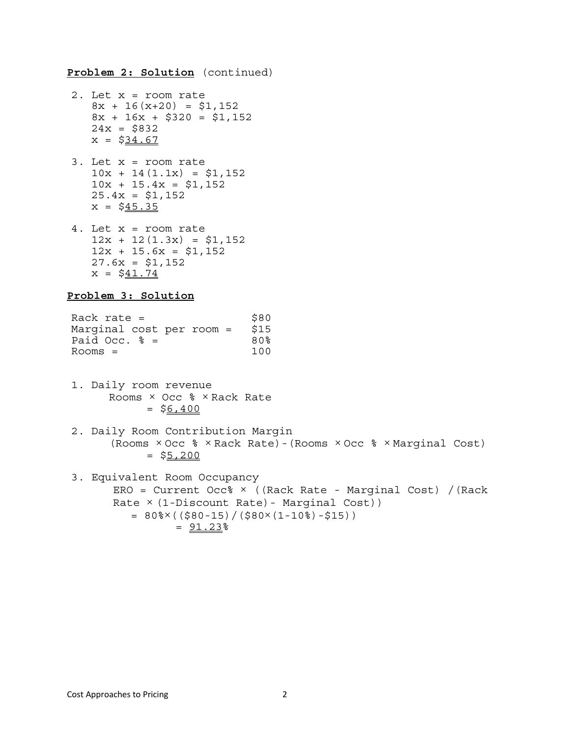**Problem 2: Solution** (continued)

- 2. Let x = room rate  $8x + 16(x+20) = $1,152$  $8x + 16x + $320 = $1,152$  $24x = $832$  $x = $34.67$
- 3. Let x = room rate  $10x + 14(1.1x) = $1,152$  $10x + 15.4x = $1,152$  $25.4x = $1,152$  $x = $45.35$
- 4. Let x = room rate  $12x + 12(1.3x) = $1,152$  $12x + 15.6x = $1,152$  $27.6x = $1,152$  $x = $41.74$

#### **Problem 3: Solution**

| Rack rate $=$             | \$80 |
|---------------------------|------|
| Marginal cost per room =  | \$15 |
| Paid Occ. $\frac{1}{6}$ = | 80%  |
| $Rooms =$                 | 100  |

- 1. Daily room revenue Rooms  $\times$  Occ  $\frac{1}{6}$   $\times$  Rack Rate  $=$  \$6,400
- 2. Daily Room Contribution Margin (Rooms × Occ % × Rack Rate)-(Rooms × Occ % × Marginal Cost)  $=$  \$5,200
- 3. Equivalent Room Occupancy ERO = Current Occ% × ((Rack Rate - Marginal Cost) /(Rack Rate  $\times$  (1-Discount Rate) - Marginal Cost))  $= 80\% \times ((\$80-15)/(\$80 \times (1-10*)-\$15))$  $= 91.23$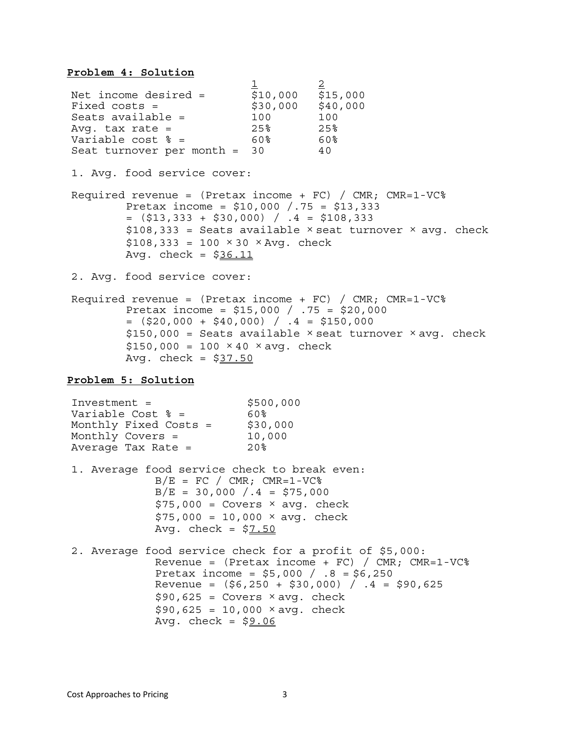#### **Problem 4: Solution**

 $\frac{1}{2}$   $\frac{2}{2}$ Net income desired = \$10,000 \$15,000  $Fixed \; costs =$  \$30,000 \$40,000 Seats available =  $100$   $100$ <br>Avq. tax rate =  $25\frac{25}{6}$   $25\frac{25}{6}$ Avg. tax rate = 25% 25% Variable cost  $\text{\$}$  = 60% 60% Seat turnover per month =  $30$  40 1. Avg. food service cover: Required revenue = (Pretax income + FC) / CMR; CMR=1-VC% Pretax income = \$10,000 /.75 = \$13,333  $=$   $( $13, 333 + $30, 000 )$  /  $.4 = $108, 333$  $$108,333 =$  Seats available  $\times$  seat turnover  $\times$  avg. check  $$108,333 = 100 \times 30 \times \text{Avg. check}$ Avg. check =  $$36.11$ 2. Avg. food service cover: Required revenue =  $(Pretax income + FC) / CMR$ ;  $CMR=1-VC$ <sup>8</sup> Pretax income =  $$15,000 / .75 = $20,000$  $=$  (\$20,000 + \$40,000) /  $.4 =$  \$150,000  $$150,000 =$  Seats available  $\times$  seat turnover  $\times$  avq. check  $$150,000 = 100 \times 40 \times avg. check$ Avg. check =  $$37.50$ **Problem 5: Solution**  $Investment =$  \$500,000 Variable Cost  $\text{\$}$  = 60% Monthly Fixed Costs =  $$30,000$ Monthly Covers = 10,000 Average Tax Rate  $=$  20% 1. Average food service check to break even:  $B/E = FC / CMR; CMR=1-VC$ %  $B/E = 30,000 / .4 = $75,000$  $$75,000 = \text{Covers} \times \text{avg}$ . check  $$75,000 = 10,000 \times avg. check$ Avg. check =  $$7.50$ 2. Average food service check for a profit of \$5,000: Revenue =  $(Pretax income + FC) / CMR$ ;  $CMR=1-VC$ <sup>8</sup> Pretax income = \$5,000 / .8 = \$6,250 Revenue =  $(56, 250 + 530, 000) / .4 = 590, 625$  $$90,625 = \text{Covers} \times \text{avg}$ . check  $$90,625 = 10,000 \times avg. check$ Avg. check =  $$9.06$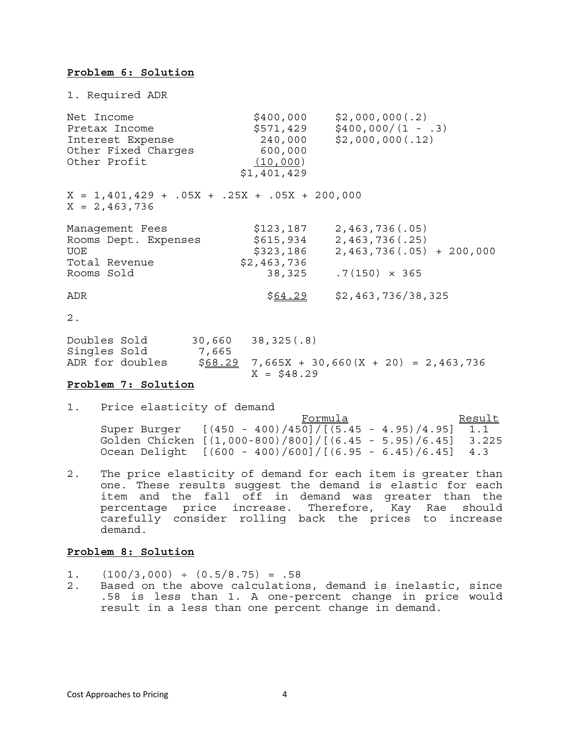### **Problem 6: Solution**

1. Required ADR Net Income  $\begin{array}{c}\n\text{Net Income} \\
\text{Theta} \\
\text{St} \\
\text{St} \\
\text{St} \\
\text{St} \\
\text{St} \\
\text{St} \\
\text{St} \\
\text{St} \\
\text{St} \\
\text{St} \\
\text{St} \\
\text{St} \\
\text{St} \\
\text{St} \\
\text{St} \\
\text{St} \\
\text{St} \\
\text{St} \\
\text{St} \\
\text{St} \\
\text{St} \\
\text{St} \\
\text{St} \\
\text{St} \\
\text{St} \\
\text{St} \\
\text{St} \\
\text{St} \\
\text{St} \\
\text{St} \\
\text{St} \\
\text{$  $$571,429$   $$400,000/(1 - .3)$ <br>240.000 \$2.000.000(.12) Interest Expense 240,000 \$2,000,000(.12) Other Fixed Charges 600,000 Other Profit (10,000) \$1,401,429  $X = 1,401,429 + .05X + .25X + .05X + 200,000$  $X = 2,463,736$ Management Fees \$123,187 2,463,736(.05)<br>
Rooms Dept. Expenses \$615,934 2,463,736(.25)<br>
UOE \$323,186 2,463,736(.05)<br>
Total Revenue Rooms Dept. Expenses \$615,934 2,463,736(.25) UOE \$323,186 2,463,736(.05) + 200,000 Total Revenue  $$2,463,736$ Rooms Sold 38,325 .7(150) × 365 ADR  $\frac{$64.29}{$2,463,736/38,325}$ 2. Doubles Sold 30,660 38,325(.8) Singles Sold<br>ADR for doubles  $$68.29$  7,665X + 30,660(X + 20) = 2,463,736

#### **Problem 7: Solution**

1. Price elasticity of demand

|              | Formula                                                     | Result |
|--------------|-------------------------------------------------------------|--------|
| Super Burger | $[(450 - 400)/450]/[(5.45 - 4.95)/4.95]$ 1.1                |        |
|              | Golden Chicken [(1,000-800)/800]/[(6.45 - 5.95)/6.45] 3.225 |        |
|              | Ocean Delight $[(600 - 400)/600]/[(6.95 - 6.45)/6.45]$ 4.3  |        |

2. The price elasticity of demand for each item is greater than one. These results suggest the demand is elastic for each item and the fall off in demand was greater than the percentage price increase. Therefore, Kay Rae should carefully consider rolling back the prices to increase demand.

 $X = $48.29$ 

### **Problem 8: Solution**

- 1.  $(100/3,000) \div (0.5/8.75) = .58$
- 2. Based on the above calculations, demand is inelastic, since .58 is less than 1. A one-percent change in price would result in a less than one percent change in demand.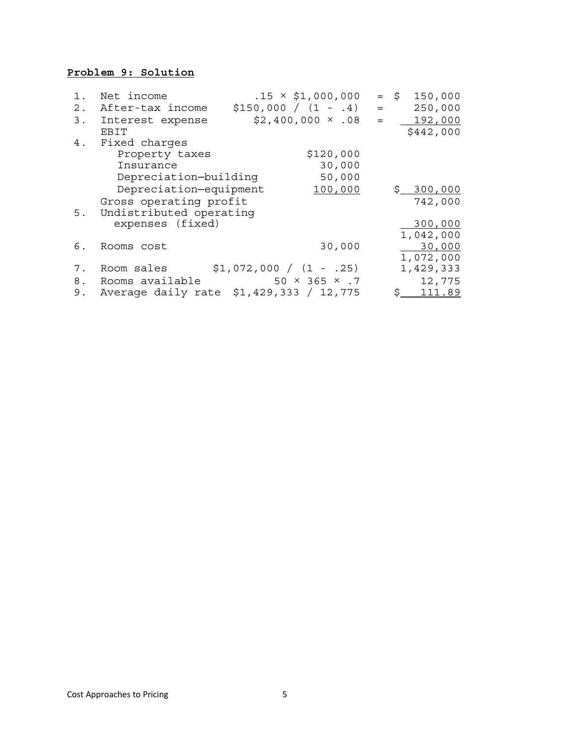## **Problem 9: Solution**

| 1. | Net income              | $.15 \times \$1,000,000$                |     | $=$ \$<br>150,000 |
|----|-------------------------|-----------------------------------------|-----|-------------------|
| 2. | After-tax income        | $$150,000 / (1 - .4)$                   | $=$ | 250,000           |
| 3. | Interest expense        | $$2,400,000 \times .08$                 | $=$ | 192,000           |
|    | <b>FBIT</b>             |                                         |     | \$442,000         |
| 4. | Fixed charges           |                                         |     |                   |
|    | Property taxes          | \$120,000                               |     |                   |
|    | Insurance               | 30,000                                  |     |                   |
|    | Depreciation-building   | 50,000                                  |     |                   |
|    | Depreciation-equipment  | 100,000                                 |     | \$300,000         |
|    | Gross operating profit  |                                         |     | 742,000           |
| 5. | Undistributed operating |                                         |     |                   |
|    | expenses (fixed)        |                                         |     | 300,000           |
|    |                         |                                         |     | 1,042,000         |
| 6. | Rooms cost              | 30,000                                  |     | 30,000            |
|    |                         |                                         |     | 1,072,000         |
| 7. | Room sales              | $$1,072,000 / (1 - .25)$                |     | 1,429,333         |
| 8. | Rooms available         | $50 \times 365 \times .7$               |     | 12,775            |
| 9. |                         | Average daily rate \$1,429,333 / 12,775 |     | 111.89<br>S.      |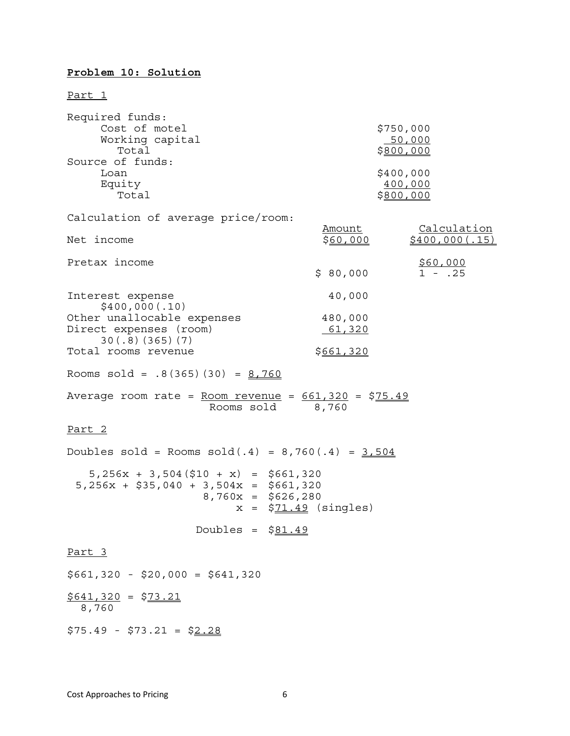## **Problem 10: Solution**

Part 1

| Required funds:<br>Cost of motel<br>Working capital<br>Total<br>Source of funds:<br>Loan<br>Equity<br>Total | \$750,000<br>50,000<br>\$800,000<br>\$400,000<br>400,000<br><u>\$800,000</u> |  |
|-------------------------------------------------------------------------------------------------------------|------------------------------------------------------------------------------|--|
| Calculation of average price/room:                                                                          | Calculation<br>Amount                                                        |  |
| Net income                                                                                                  | \$400,000(.15)<br>\$ <u>60,000</u>                                           |  |
| Pretax income                                                                                               | \$60,000<br>\$80,000<br>$1 - .25$                                            |  |
| Interest expense<br>\$400,000(.10)                                                                          | 40,000                                                                       |  |
| Other unallocable expenses<br>Direct expenses (room)<br>30(.8)(365)(7)                                      | 480,000<br>61,320                                                            |  |
| Total rooms revenue                                                                                         | \$661,320                                                                    |  |
| Rooms $sold = .8(365)(30) = 8,760$                                                                          |                                                                              |  |
| Average room rate = $Room$ revenue = $661,320$ = \$75.49<br>Rooms sold                                      | 8,760                                                                        |  |
| <u>Part 2</u>                                                                                               |                                                                              |  |
| Doubles sold = Rooms sold(.4) = $8,760(.4) = 3,504$                                                         |                                                                              |  |
| $5,256x + 3,504(510 + x) = 5661,320$<br>$5,256x + $35,040 + 3,504x = $661,320$<br>$8,760x = $626,280$       | $x = $71.49$ (singles)                                                       |  |
| Doubles = $$81.49$                                                                                          |                                                                              |  |
| Part 3                                                                                                      |                                                                              |  |
| $$661,320 - $20,000 = $641,320$                                                                             |                                                                              |  |
| $$641,320 = $73.21$<br>8,760                                                                                |                                                                              |  |
| $$75.49 - $73.21 = $2.28$                                                                                   |                                                                              |  |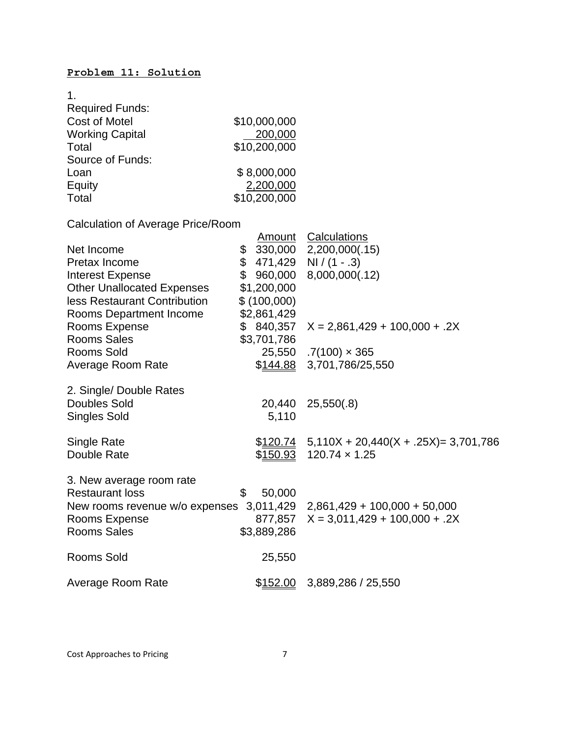## **Problem 11: Solution**

| 1.                                       |                  |                                                                       |
|------------------------------------------|------------------|-----------------------------------------------------------------------|
| <b>Required Funds:</b>                   |                  |                                                                       |
| <b>Cost of Motel</b>                     | \$10,000,000     |                                                                       |
| <b>Working Capital</b>                   | 200,000          |                                                                       |
| Total                                    | \$10,200,000     |                                                                       |
| Source of Funds:                         |                  |                                                                       |
| Loan                                     | \$8,000,000      |                                                                       |
| Equity                                   | 2,200,000        |                                                                       |
| Total                                    | \$10,200,000     |                                                                       |
|                                          |                  |                                                                       |
| <b>Calculation of Average Price/Room</b> |                  |                                                                       |
|                                          | <u>Amount</u>    | <b>Calculations</b>                                                   |
| Net Income                               | \$               | 330,000 2,200,000(.15)                                                |
| Pretax Income                            | \$               | $471,429$ NI / (1 - .3)                                               |
| <b>Interest Expense</b>                  | \$<br>960,000    | 8,000,000(.12)                                                        |
| <b>Other Unallocated Expenses</b>        | \$1,200,000      |                                                                       |
| less Restaurant Contribution             | \$(100,000)      |                                                                       |
| Rooms Department Income                  | \$2,861,429      |                                                                       |
| Rooms Expense                            | \$ 840,357       | $X = 2,861,429 + 100,000 + .2X$                                       |
| <b>Rooms Sales</b>                       | \$3,701,786      |                                                                       |
| <b>Rooms Sold</b>                        |                  | $25,550$ .7(100) $\times$ 365                                         |
| Average Room Rate                        | \$ <u>144.88</u> | 3,701,786/25,550                                                      |
|                                          |                  |                                                                       |
| 2. Single/ Double Rates                  |                  |                                                                       |
| <b>Doubles Sold</b>                      | 20,440           | 25,550(.8)                                                            |
| <b>Singles Sold</b>                      | 5,110            |                                                                       |
|                                          |                  |                                                                       |
| Single Rate                              |                  | $$120.74$ 5,110X + 20,440(X + .25X) = 3,701,786                       |
| Double Rate                              | \$ <u>150.93</u> | $120.74 \times 1.25$                                                  |
|                                          |                  |                                                                       |
| 3. New average room rate                 |                  |                                                                       |
| <b>Restaurant loss</b>                   | \$<br>50,000     |                                                                       |
|                                          |                  | New rooms revenue w/o expenses 3,011,429 2,861,429 + 100,000 + 50,000 |
| Rooms Expense                            | 877,857          | $X = 3,011,429 + 100,000 + .2X$                                       |
| <b>Rooms Sales</b>                       | \$3,889,286      |                                                                       |
| <b>Rooms Sold</b>                        |                  |                                                                       |
|                                          | 25,550           |                                                                       |
| Average Room Rate                        | \$152.00         | 3,889,286 / 25,550                                                    |
|                                          |                  |                                                                       |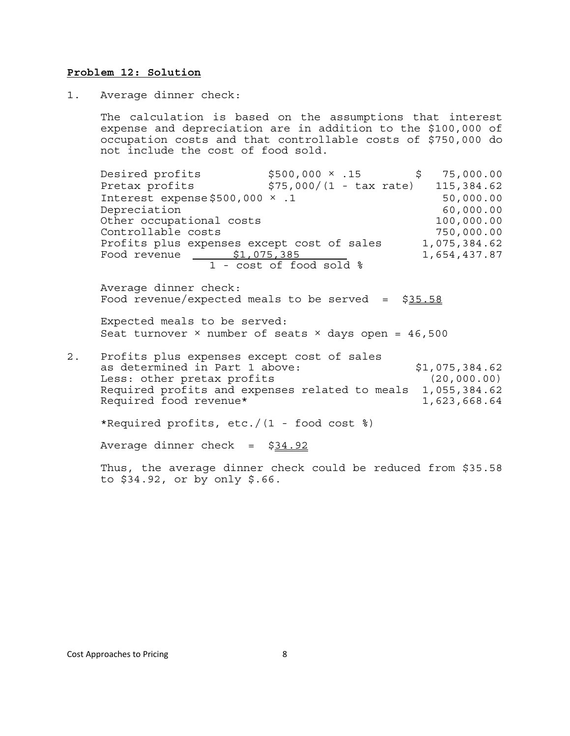#### **Problem 12: Solution**

1. Average dinner check:

The calculation is based on the assumptions that interest expense and depreciation are in addition to the \$100,000 of occupation costs and that controllable costs of \$750,000 do not include the cost of food sold.

Desired profits  $$500,000 \times .15$  \$ 75,000.00 Pretax profits  $$75,000/(1 - tax rate)$  115,384.62 Interest expense  $$500,000 \times .1$  50,000.00 Depreciation 60,000.00 Other occupational costs 100,000.00 Controllable costs 750,000.00 Profits plus expenses except cost of sales 1,075,384.62 Food revenue  $\underline{\$1,075,385}$  1,654,437.87 1 - cost of food sold %

Average dinner check: Food revenue/expected meals to be served =  $$35.58$ 

Expected meals to be served: Seat turnover  $\times$  number of seats  $\times$  days open = 46,500

2. Profits plus expenses except cost of sales as determined in Part 1 above:  $$1,075,384.62$ Less: other pretax profits (20,000.00) Required profits and expenses related to meals 1,055,384.62 Required food revenue\* 1,623,668.64

\*Required profits, etc./(1 - food cost %)

Average dinner check = \$34.92

Thus, the average dinner check could be reduced from \$35.58 to \$34.92, or by only \$.66.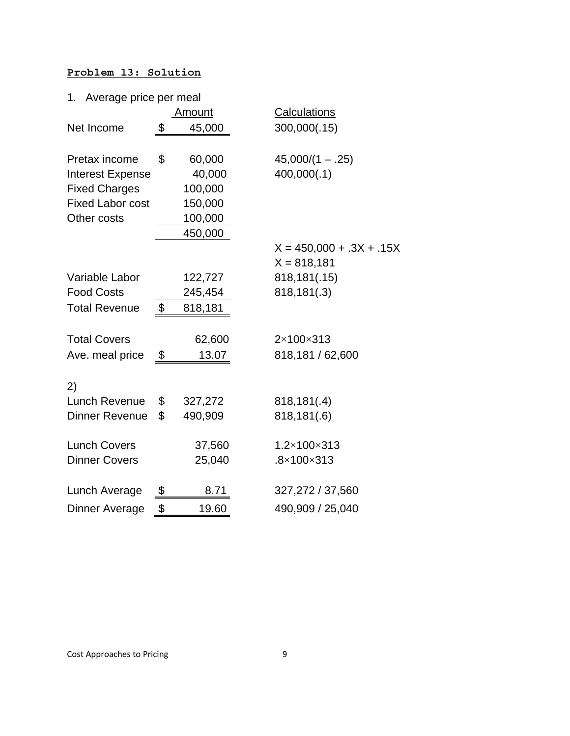## **Problem 13: Solution**

| Average price per meal<br>1. |               |                            |
|------------------------------|---------------|----------------------------|
|                              | <u>Amount</u> | <b>Calculations</b>        |
| Net Income                   | \$<br>45,000  | 300,000(.15)               |
|                              |               |                            |
| Pretax income                | \$<br>60,000  | $45,000/(1-.25)$           |
| <b>Interest Expense</b>      | 40,000        | 400,000(.1)                |
| <b>Fixed Charges</b>         | 100,000       |                            |
| <b>Fixed Labor cost</b>      | 150,000       |                            |
| Other costs                  | 100,000       |                            |
|                              | 450,000       |                            |
|                              |               | $X = 450,000 + .3X + .15X$ |
|                              |               | $X = 818,181$              |
| Variable Labor               | 122,727       | 818,181(.15)               |
| <b>Food Costs</b>            | 245,454       | 818,181(.3)                |
| <b>Total Revenue</b>         | \$<br>818,181 |                            |
|                              |               |                            |
| <b>Total Covers</b>          | 62,600        | 2×100×313                  |
| Ave. meal price              | \$<br>13.07   | 818,181 / 62,600           |
|                              |               |                            |
| 2)                           |               |                            |
| Lunch Revenue                | \$<br>327,272 | 818,181(.4)                |
| <b>Dinner Revenue</b>        | \$<br>490,909 | 818,181(.6)                |
|                              |               |                            |
| <b>Lunch Covers</b>          | 37,560        | 1.2×100×313                |
| <b>Dinner Covers</b>         | 25,040        | $.8\times100\times313$     |
|                              |               |                            |
| Lunch Average                | \$<br>8.71    | 327,272 / 37,560           |
| Dinner Average               | \$<br>19.60   | 490,909 / 25,040           |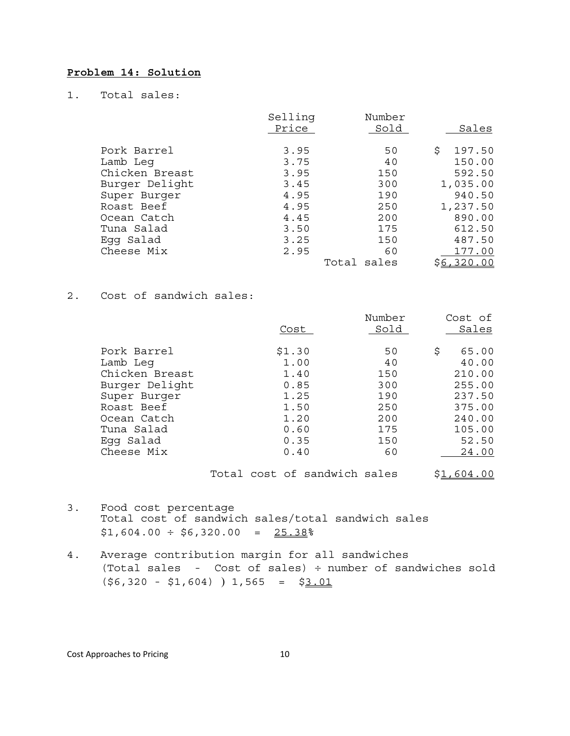## **Problem 14: Solution**

1. Total sales:

|                | Selling | Number      |              |
|----------------|---------|-------------|--------------|
|                | Price   | Sold        | Sales        |
|                |         |             |              |
| Pork Barrel    | 3.95    | 50          | Ŝ.<br>197.50 |
| Lamb Leq       | 3.75    | 40          | 150.00       |
| Chicken Breast | 3.95    | 150         | 592.50       |
| Burger Delight | 3.45    | 300         | 1,035.00     |
| Super Burger   | 4.95    | 190         | 940.50       |
| Roast Beef     | 4.95    | 250         | 1,237.50     |
| Ocean Catch    | 4.45    | 200         | 890.00       |
| Tuna Salad     | 3.50    | 175         | 612.50       |
| Eqq Salad      | 3.25    | 150         | 487.50       |
| Cheese Mix     | 2.95    | 60          | 177.00       |
|                |         | Total sales | \$6,320.00   |

### 2. Cost of sandwich sales:

|                | Cost   | Number<br>Sold | Cost of<br>Sales |
|----------------|--------|----------------|------------------|
| Pork Barrel    | \$1.30 | 50             | \$<br>65.00      |
| Lamb Leq       | 1.00   | 40             | 40.00            |
| Chicken Breast | 1.40   | 150            | 210.00           |
| Burger Delight | 0.85   | 300            | 255.00           |
| Super Burger   | 1.25   | 190            | 237.50           |
| Roast Beef     | 1.50   | 250            | 375.00           |
| Ocean Catch    | 1.20   | 200            | 240.00           |
| Tuna Salad     | 0.60   | 175            | 105.00           |
| Eqq Salad      | 0.35   | 150            | 52.50            |
| Cheese Mix     | 0.40   | 60             | 24.00            |
|                |        |                |                  |

Total cost of sandwich sales \$1,604.00

- 3. Food cost percentage Total cost of sandwich sales/total sandwich sales  $$1,604.00 \div $6,320.00 = 25.38%$
- 4. Average contribution margin for all sandwiches (Total sales - Cost of sales) ÷ number of sandwiches sold  $(\$6,320 - $1,604)$  ) 1,565 = \$3.01

Cost Approaches to Pricing 10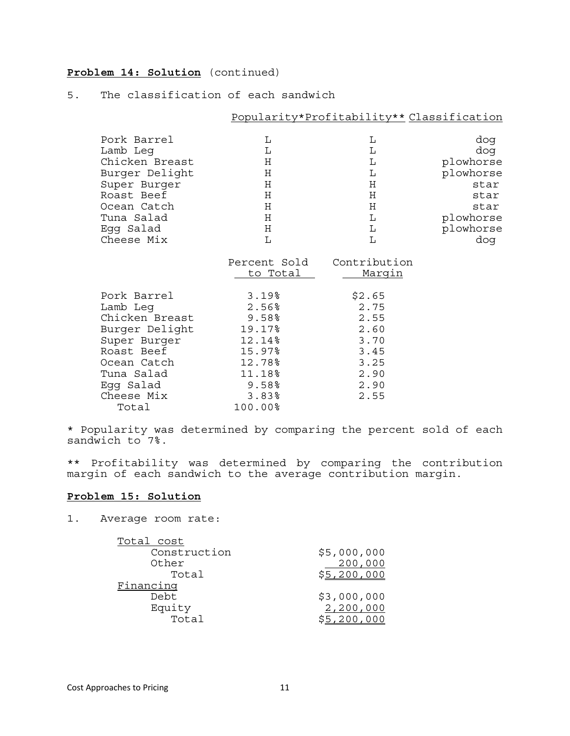## **Problem 14: Solution** (continued)

### 5. The classification of each sandwich

|                |                 | Popularity*Profitability** Classification |           |
|----------------|-----------------|-------------------------------------------|-----------|
| Pork Barrel    | L               | L                                         | dog       |
| Lamb Leg       | L               | L                                         | dog       |
| Chicken Breast | Н               | L                                         | plowhorse |
| Burger Delight | $\rm H$         | $\mathbf{L}$                              | plowhorse |
| Super Burger   | Η               | H                                         | star      |
| Roast Beef     | H               | $\rm H$                                   | star      |
| Ocean Catch    | Η               | $\rm H$                                   | star      |
| Tuna Salad     | Η               | $\mathbf L$                               | plowhorse |
| Egg Salad      | H               | $\mathbf L$                               | plowhorse |
| Cheese Mix     | L               | L                                         | dog       |
|                | Percent Sold    | Contribution                              |           |
|                | <u>to Total</u> | <u>Marqin</u>                             |           |
| Pork Barrel    | 3.19%           | \$2.65                                    |           |
| Lamb Leq       | 2.56%           | 2.75                                      |           |
| Chicken Breast | 9.58%           | 2.55                                      |           |
| Burger Delight | 19.17%          | 2.60                                      |           |
| Super Burger   | 12.14%          | 3.70                                      |           |
| Roast Beef     | 15.97%          | 3.45                                      |           |
| Ocean Catch    | 12.78%          | 3.25                                      |           |
| Tuna Salad     | 11.18%          | 2.90                                      |           |
| Egg Salad      | 9.58%           | 2.90                                      |           |
| Cheese Mix     | 3.83%           | 2.55                                      |           |
| Total          | 100.00%         |                                           |           |

\* Popularity was determined by comparing the percent sold of each sandwich to 7%.

\*\* Profitability was determined by comparing the contribution margin of each sandwich to the average contribution margin.

## **Problem 15: Solution**

1. Average room rate:

| Total cost   |             |
|--------------|-------------|
| Construction | \$5,000,000 |
| Other        | 200,000     |
| Total        | \$5,200,000 |
| Financing    |             |
| Debt         | \$3,000,000 |
| Equity       | 2,200,000   |
| Total        |             |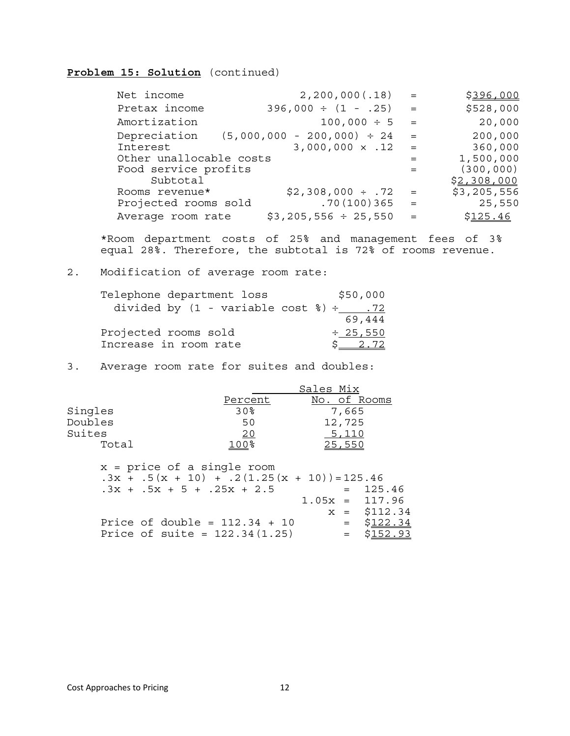## **Problem 15: Solution** (continued)

| Net income              | 2, 200, 000(.18)                | $=$ | \$396,000   |
|-------------------------|---------------------------------|-----|-------------|
| Pretax income           | $396,000 \div (1 - .25)$        | $=$ | \$528,000   |
| Amortization            | $100,000 \div 5$                | $=$ | 20,000      |
| Depreciation            | $(5,000,000 - 200,000) \div 24$ | $=$ | 200,000     |
| Interest                | $3,000,000 \times .12$          | $=$ | 360,000     |
| Other unallocable costs |                                 | $=$ | 1,500,000   |
| Food service profits    |                                 | $=$ | (300, 000)  |
| Subtotal                |                                 |     | \$2,308,000 |
| Rooms revenue*          | $$2,308,000 \div .72$           | $=$ | \$3,205,556 |
| Projected rooms sold    | .70(100)365                     | $=$ | 25,550      |
| Average room rate       | $$3,205,556 \div 25,550$        | $=$ | \$125.46    |

\*Room department costs of 25% and management fees of 3% equal 28%. Therefore, the subtotal is 72% of rooms revenue.

### 2. Modification of average room rate:

| Telephone department loss                                 | \$50,000      |
|-----------------------------------------------------------|---------------|
| divided by $(1 - \text{variable cost } \text{}) \div$ .72 |               |
|                                                           | 69,444        |
| Projected rooms sold                                      | $\div$ 25,550 |
| Increase in room rate                                     | $S = 2.72$    |

3. Average room rate for suites and doubles:

|         |         | Sales Mix    |
|---------|---------|--------------|
|         | Percent | No. of Rooms |
| Singles | 30%     | 7,665        |
| Doubles | 50      | 12,725       |
| Suites  | 20      | 5,110        |
| Total   | 100%    | 25,550       |
|         |         |              |

x = price of a single room  $.3x + .5(x + 10) + .2(1.25(x + 10)) = 125.46$  $.3x + .5x + 5 + .25x + 2.5 = 125.46$  $1.05x = 117.96$  $x = $112.34$ Price of double =  $112.34 + 10$  =  $$122.34$ Price of suite =  $122.34(1.25)$  =  $$152.93$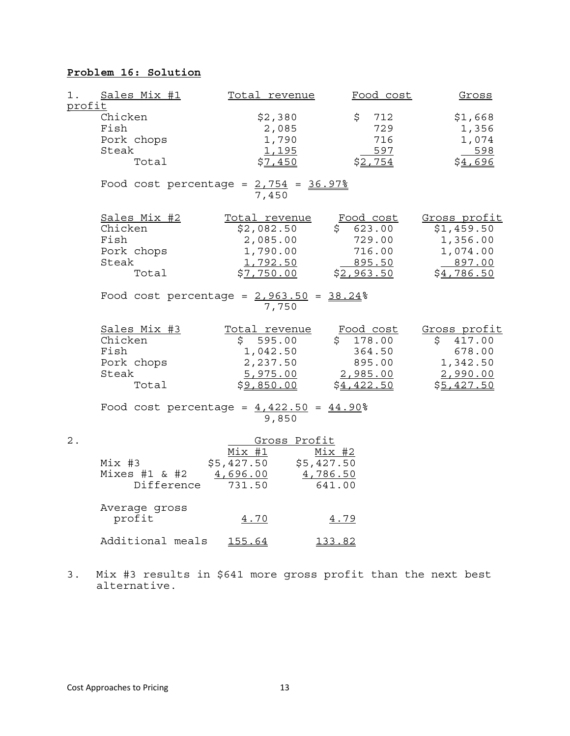## **Problem 16: Solution**

| 1.<br>profit | Sales Mix $#1$                                                  | <u>Total revenue</u>                                                          | Food cost                                                           | Gross                                                                        |
|--------------|-----------------------------------------------------------------|-------------------------------------------------------------------------------|---------------------------------------------------------------------|------------------------------------------------------------------------------|
|              | Chicken<br>Fish<br>Pork chops<br>Steak<br>Total                 | \$2,380<br>2,085<br>1,790<br><u>1,195</u><br>\$7,450                          | \$<br>712<br>729<br>716<br>597<br>\$2,754                           | \$1,668<br>1,356<br>1,074<br>598<br>\$4,696                                  |
|              | Food cost percentage = $2,754$ = $36.97\%$                      | 7,450                                                                         |                                                                     |                                                                              |
|              | Sales Mix #2<br>Chicken<br>Fish<br>Pork chops<br>Steak<br>Total | Total revenue<br>\$2,082.50<br>2,085.00<br>1,790.00<br>1,792.50<br>\$7,750.00 | Food cost<br>\$623.00<br>729.00<br>716.00<br>895.50<br>\$2,963.50   | Gross profit<br>\$1,459.50<br>1,356.00<br>1,074.00<br>897.00<br>\$4,786.50   |
|              | Food cost percentage = $2,963.50 = 38.24$                       | 7,750                                                                         |                                                                     |                                                                              |
|              | Sales Mix #3<br>Chicken<br>Fish<br>Pork chops<br>Steak<br>Total | Total revenue<br>\$595.00<br>1,042.50<br>2,237.50<br>5,975.00<br>\$9,850.00   | Food cost<br>\$178.00<br>364.50<br>895.00<br>2,985.00<br>\$4,422.50 | Gross profit<br>417.00<br>S.<br>678.00<br>1,342.50<br>2,990.00<br>\$5,427.50 |
|              | Food cost percentage = $4,422.50 = 44.90$ <sup>2</sup>          | 9,850                                                                         |                                                                     |                                                                              |
| 2.           | $Mix$ #3<br>Mixes $#1$ & $#2$<br>Difference                     | Gross Profit<br>Mix #1<br>\$5,427.50<br>4,696.00<br>731.50                    | $Mix$ #2<br>\$5,427.50<br>4,786.50<br>641.00                        |                                                                              |
|              | Average gross<br>profit                                         | 4.70                                                                          | 4.79                                                                |                                                                              |
|              | Additional meals                                                | 155.64                                                                        | 133.82                                                              |                                                                              |

3. Mix #3 results in \$641 more gross profit than the next best alternative.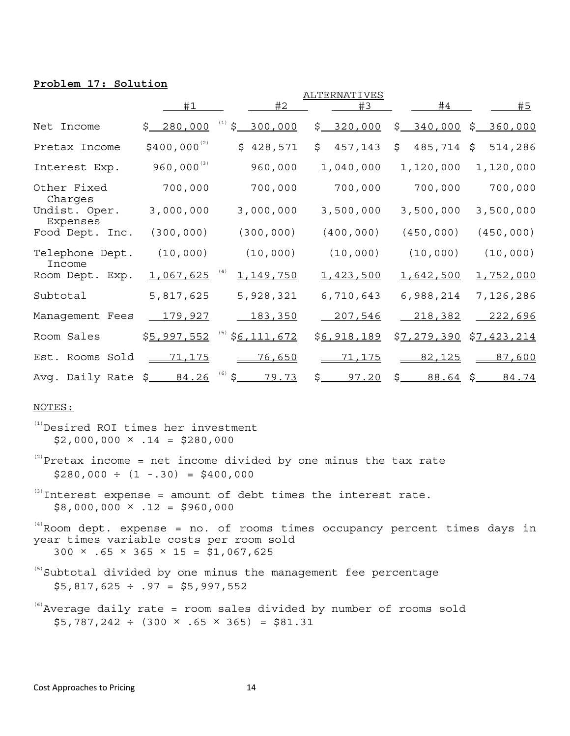### **Problem 17: Solution**

|                             |                  |                               | ALTERNATIVES        |                                            |                  |
|-----------------------------|------------------|-------------------------------|---------------------|--------------------------------------------|------------------|
|                             | #1               | #2                            | #3                  | #4                                         | #5               |
| Net Income                  | \$ 280,000       | $\ddot{\varsigma}$<br>300,000 | \$ 320,000          | \$__<br>340,000                            | \$ 360,000       |
| Pretax Income               | $$400,000^{(2)}$ | 428,571<br>\$                 | \$<br>457,143       | \$<br>485,714                              | \$<br>514,286    |
| Interest Exp.               | $960,000^{(3)}$  | 960,000                       | 1,040,000           | 1,120,000                                  | 1,120,000        |
| Other Fixed                 | 700,000          | 700,000                       | 700,000             | 700,000                                    | 700,000          |
| Charges<br>Undist. Oper.    | 3,000,000        | 3,000,000                     | 3,500,000           | 3,500,000                                  | 3,500,000        |
| Expenses<br>Food Dept. Inc. | (300, 000)       | (300, 000)                    | (400, 000)          | (450, 000)                                 | (450, 000)       |
| Telephone Dept.             | (10,000)         | (10, 000)                     | (10,000)            | (10,000)                                   | (10,000)         |
| Income<br>Room Dept. Exp.   | 1,067,625        | 1,149,750                     | 1,423,500           | <u>1,642,500</u>                           | <u>1,752,000</u> |
| Subtotal                    | 5,817,625        | 5,928,321                     | 6,710,643           | 6,988,214                                  | 7,126,286        |
| Management Fees             | <u>179,927</u>   | 183,350                       | 207,546             | 218,382                                    | <u>222,696</u>   |
| Room Sales                  | \$5,997,552      | \$6,111,672                   | \$6,918,189         | <u>\$7,279,390</u>                         | \$7,423,214      |
| Est. Rooms Sold             | <u>71,175</u>    | 76,650                        | <u>71,175</u>       | 82,125                                     | 87,600           |
| Avg. Daily Rate             | \$ 84.26         | \$<br>79.73                   | $\frac{5}{2}$ 97.20 | $\zeta$ . The set of $\zeta$<br>$88.64$ \$ | 84.74            |

#### NOTES:

- (1)Desired ROI times her investment  $$2,000,000 \times .14 = $280,000$
- $(2)$ Pretax income = net income divided by one minus the tax rate  $$280,000 \div (1 - .30) = $400,000$
- $^{(3)}$ Interest expense = amount of debt times the interest rate.  $$8,000,000 \times .12 = $960,000$

 $(4)$  Room dept. expense = no. of rooms times occupancy percent times days in year times variable costs per room sold  $300 \times .65 \times 365 \times 15 = $1,067,625$ 

 $(5)$ Subtotal divided by one minus the management fee percentage  $$5,817,625 \div .97 = $5,997,552$ 

 $^{(6)}$ Average daily rate = room sales divided by number of rooms sold  $$5,787,242 \div (300 \times .65 \times 365) = $81.31$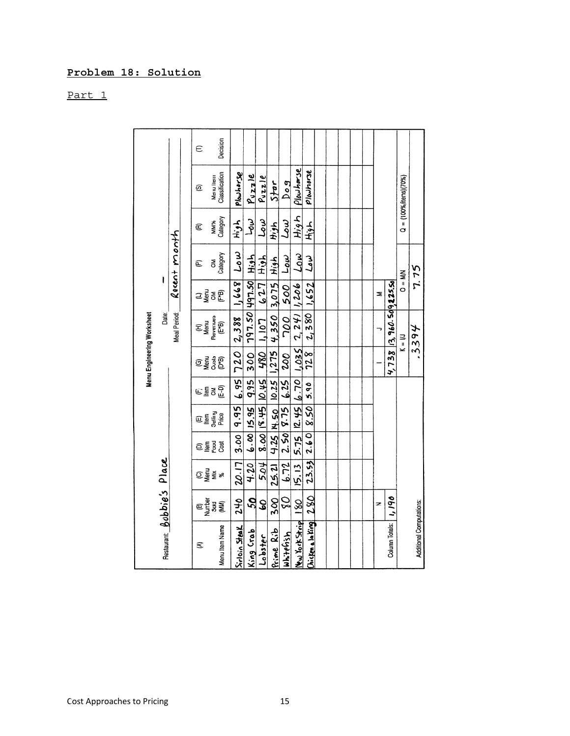# Problem 18: Solution

Part 1

|                            |                                       |                     |                             |                              |         |                                     | Menu Engineering Worksheet                                                                                          |            |                    |               |                               |          |
|----------------------------|---------------------------------------|---------------------|-----------------------------|------------------------------|---------|-------------------------------------|---------------------------------------------------------------------------------------------------------------------|------------|--------------------|---------------|-------------------------------|----------|
| Restaurant: Bobbie's Place |                                       |                     |                             |                              |         |                                     | Date:                                                                                                               |            |                    |               |                               |          |
|                            |                                       |                     |                             |                              |         |                                     | Meal Period:                                                                                                        |            | Recent month       |               |                               |          |
|                            |                                       |                     |                             |                              |         |                                     |                                                                                                                     |            |                    |               |                               |          |
| ŝ                          |                                       |                     |                             |                              |         |                                     |                                                                                                                     |            | Ë                  | Ē             | ©                             | Ê        |
|                            | <b>ED STARS</b><br>Dengton<br>Dengton | ⊙្ទឺ≩្ទ័ ៖          | <mark></mark> គ្នួខ្ទីខ្ទី  | ED En EN<br>Selling<br>Piece | ∈≣ิธินิ | ិទ្ធិ និង<br>ចិន្ត្រី               |                                                                                                                     | ាទ្ទិ៍ខ្ញុ | ξ                  | <b>MW%</b>    |                               |          |
| Menu Item Name             |                                       |                     |                             |                              |         |                                     | $\begin{array}{c}\n(H)\\ \mathsf{Menu} \\ \mathsf{Reveruuss} \\ \mathsf{(E^*B)}\quad \  \, \mathsf{I}\n\end{array}$ |            | Category           | Category      | Menu Item<br>Classification   | Decision |
| Sirloin Steak              | <b>942</b>                            | 20.17               | 3.00   9.95                 |                              |         |                                     | 6.95 720 2.388 1.668                                                                                                |            | سما                | Af.H          | Plowhorse                     |          |
| king Crab                  | SQ                                    | 4.20                | 6.00   15.95                |                              | $-9.95$ | 300                                 | 797.50 497.50                                                                                                       |            | High               | $L_{0}\omega$ | $P_{UZZ}$ le                  |          |
| Lobster                    | S                                     |                     |                             |                              |         | $5.04$   8.00   134.31   0.45   130 | $1,107$ $627$                                                                                                       |            | ふエ                 | سما           | $P_{V}$ zzle                  |          |
| <u>Rime</u> Rib            | <b>Soc</b>                            |                     |                             |                              |         |                                     | 25.21 4.25 N.50 10.25 1,275 4.350 3.075 High                                                                        |            |                    | エンプト          | $5$ tar                       |          |
| uhiterish                  | 0s                                    |                     | $6.72$   2.50   8.75   6.25 |                              |         | so                                  | ן סמר                                                                                                               | 500        | $L_{\bm{0}}\omega$ | سما           | log <sub>q</sub>              |          |
| <b>PERMITS</b>             | $\frac{80}{2}$                        | 5.13 5.75 2.45 6.70 |                             |                              |         | $550^{7}$                           | $2,241$ 1,206                                                                                                       |            | $\mathcal{L}_{0}$  | てんぞ           | Plowharse                     |          |
| hicken a la king           | 280                                   |                     | $23.53$ $2.60$ $8.50$       |                              | 5.90    | 728                                 | 2,380                                                                                                               | 1.652      | نىەر               | エット           | pladhorse                     |          |
|                            |                                       |                     |                             |                              |         |                                     |                                                                                                                     |            |                    |               |                               |          |
|                            |                                       |                     |                             |                              |         |                                     |                                                                                                                     |            |                    |               |                               |          |
|                            |                                       |                     |                             |                              |         |                                     |                                                                                                                     |            |                    |               |                               |          |
|                            |                                       |                     |                             |                              |         |                                     |                                                                                                                     |            |                    |               |                               |          |
|                            |                                       |                     |                             |                              |         |                                     |                                                                                                                     |            |                    |               |                               |          |
|                            | z                                     |                     |                             |                              |         |                                     | ÷                                                                                                                   | z          |                    |               |                               |          |
| Column Totals:             | 061'1                                 |                     |                             |                              |         |                                     | $4, 738$ 13, 960. 50 9, 225.50                                                                                      |            |                    |               |                               |          |
|                            |                                       |                     |                             |                              |         |                                     | $K = 1/3$                                                                                                           | $Q = M$    |                    |               | $Q = (100\%$ /items) $(70\%)$ |          |
| Additional Computations:   |                                       |                     |                             |                              |         |                                     | .3394                                                                                                               |            | 7.75               |               |                               |          |
|                            |                                       |                     |                             |                              |         |                                     |                                                                                                                     |            |                    |               |                               |          |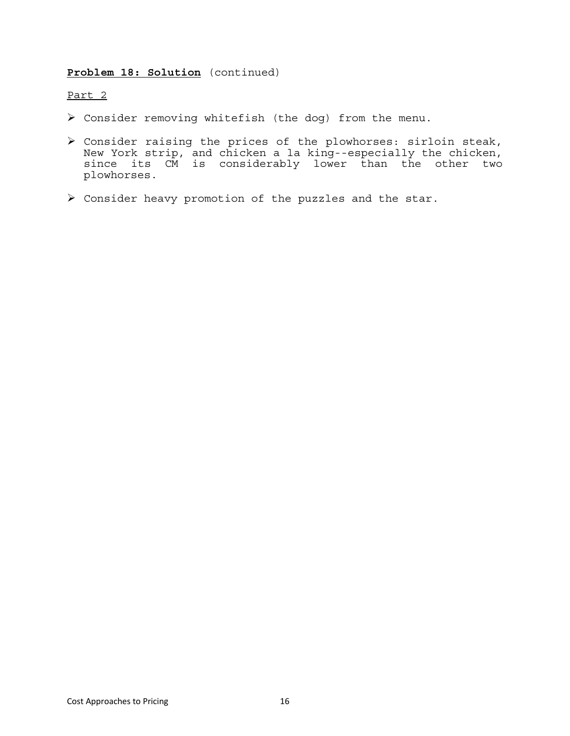### **Problem 18: Solution** (continued)

### Part 2

- ¾ Consider removing whitefish (the dog) from the menu.
- $\triangleright$  Consider raising the prices of the plowhorses: sirloin steak, New York strip, and chicken a la king--especially the chicken, since its CM is considerably lower than the other two plowhorses.
- ¾ Consider heavy promotion of the puzzles and the star.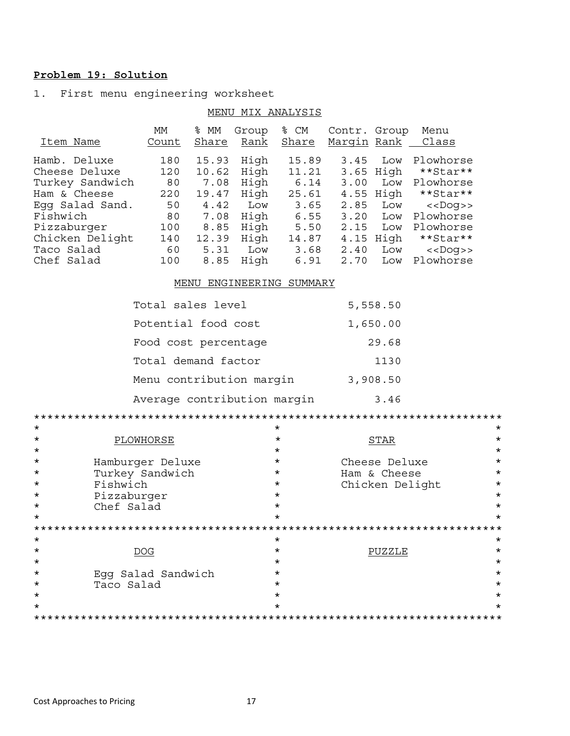## Problem 19: Solution

1. First menu engineering worksheet

|                                                                                                                                                 |                                                         | MENU                                                                     |                                                                    | MIX ANALYSIS                                                             |                                              |                                                                                 |                                                                                                                  |
|-------------------------------------------------------------------------------------------------------------------------------------------------|---------------------------------------------------------|--------------------------------------------------------------------------|--------------------------------------------------------------------|--------------------------------------------------------------------------|----------------------------------------------|---------------------------------------------------------------------------------|------------------------------------------------------------------------------------------------------------------|
| Item Name                                                                                                                                       | МM<br>Count                                             | % MM<br>Share                                                            | Group<br>Rank                                                      | % CM<br>Share                                                            | Contr.<br>Margin Rank                        | Group                                                                           | Menu<br>Class                                                                                                    |
| Hamb. Deluxe<br>Cheese Deluxe<br>Turkey Sandwich<br>Ham & Cheese<br>Eqq Salad Sand.<br>Fishwich<br>Pizzaburger<br>Chicken Delight<br>Taco Salad | 180<br>120<br>80<br>220<br>50<br>80<br>100<br>140<br>60 | 15.93<br>10.62<br>7.08<br>19.47<br>4.42<br>7.08<br>8.85<br>12.39<br>5.31 | High<br>High<br>High<br>High<br>Low<br>High<br>High<br>High<br>Low | 15.89<br>11.21<br>6.14<br>25.61<br>3.65<br>6.55<br>5.50<br>14.87<br>3.68 | 3.45<br>3.00<br>2.85<br>3.20<br>2.15<br>2.40 | Low<br>3.65 High<br>Low<br>4.55 High<br>Low<br>Low<br>Low<br>$4.15$ High<br>Low | Plowhorse<br>**Star**<br>Plowhorse<br>**Star**<br>$<<$ Doq>><br>Plowhorse<br>Plowhorse<br>**Star**<br>$<<$ Doq>> |
| Chef Salad                                                                                                                                      | 100                                                     | 8.85                                                                     | High                                                               | 6.91                                                                     | 2.70                                         | Low                                                                             | Plowhorse                                                                                                        |

#### MENU ENGINEERING SUMMARY

| Total sales level           | 5,558.50 |
|-----------------------------|----------|
| Potential food cost         | 1,650.00 |
| Food cost percentage        | 29.68    |
| Total demand factor         | 1130     |
| Menu contribution margin    | 3,908.50 |
| Average contribution margin | 3.46     |

| $\mathbf{\tilde{x}}$ |                    | ×       |                         | $\pmb{\times}$ |
|----------------------|--------------------|---------|-------------------------|----------------|
| $\star$              | PLOWHORSE          | *       | STAR                    | *              |
| $\star$              |                    | $\star$ |                         | $^\star$       |
| $\star$              | Hamburger Deluxe   | $\star$ | Cheese Deluxe           | $^\star$       |
| $\star$              | Turkey Sandwich    | $\star$ | Ham & Cheese            | $^\star$       |
| $\star$              | Fishwich           | $\star$ | Chicken Delight         | $^\star$       |
| $\star$              | Pizzaburger        | $\star$ |                         | $^\star$       |
| $\star$              | Chef Salad         | $\star$ |                         | *              |
| $\star$              |                    | $\star$ |                         | *              |
|                      |                    |         | *********************** |                |
| $\star$              |                    | $\star$ |                         | *              |
| $\star$              | DOG                | $\star$ | PUZZLE                  | *              |
| $\star$              |                    | $\star$ |                         | $^\star$       |
| $\star$              | Egg Salad Sandwich | $\star$ |                         | $^\star$       |
| $\star$              | Taco Salad         | *       |                         | *              |
| $\star$              |                    | $\star$ |                         | *              |
| $\star$              |                    | *       |                         |                |
|                      |                    |         |                         |                |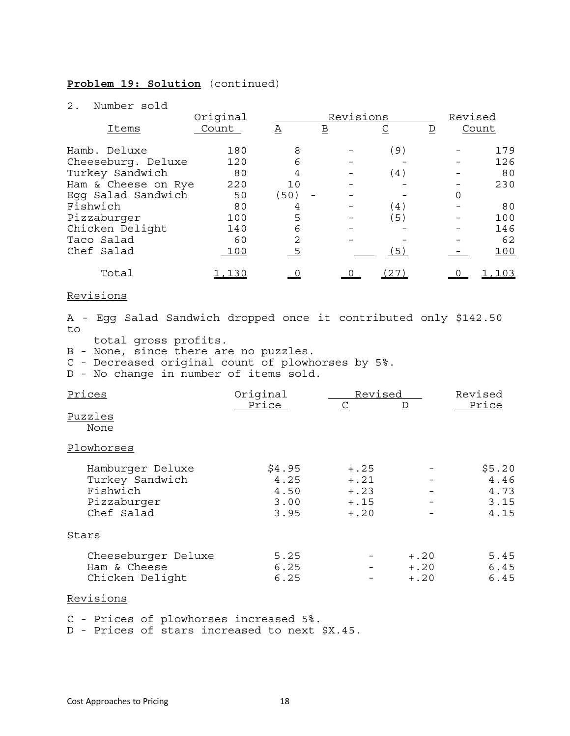### **Problem 19: Solution** (continued)

#### 2. Number sold

|                     | Original |                | Revisions                |                   |   |   | Revised |
|---------------------|----------|----------------|--------------------------|-------------------|---|---|---------|
| Items               | Count    | Α              | $\underline{\mathbf{B}}$ | <u>C</u>          | D |   | Count   |
| Hamb. Deluxe        | 180      | 8              |                          | $\left( 9\right)$ |   |   | 179     |
| Cheeseburg. Deluxe  | 120      | 6              |                          |                   |   |   | 126     |
| Turkey Sandwich     | 80       | 4              |                          | (4)               |   |   | 80      |
| Ham & Cheese on Rye | 220      | 10             |                          |                   |   |   | 230     |
| Egg Salad Sandwich  | 50       | (50)           |                          |                   |   | 0 |         |
| Fishwich            | 80       | 4              |                          | (4)               |   |   | 80      |
| Pizzaburger         | 100      | 5              |                          | 5)                |   |   | 100     |
| Chicken Delight     | 140      | 6              |                          |                   |   |   | 146     |
| Taco Salad          | 60       | 2              |                          |                   |   |   | 62      |
| Chef Salad          | 100      | $\overline{5}$ |                          | (5)               |   |   | 100     |
| Total               | ,130     |                |                          | 27                |   |   | .103    |

#### Revisions

A - Egg Salad Sandwich dropped once it contributed only \$142.50 to

total gross profits.

B - None, since there are no puzzles.

C - Decreased original count of plowhorses by 5%.

D - No change in number of items sold.

| Prices              | Original | Revised     |         | Revised |  |
|---------------------|----------|-------------|---------|---------|--|
|                     | Price    | $\subseteq$ | D       | Price   |  |
| Puzzles             |          |             |         |         |  |
| None                |          |             |         |         |  |
| Plowhorses          |          |             |         |         |  |
| Hamburger Deluxe    | \$4.95   | $+.25$      |         | \$5.20  |  |
| Turkey Sandwich     | 4.25     | $+, 21$     |         | 4.46    |  |
| Fishwich            | 4.50     | $+ .23$     |         | 4.73    |  |
| Pizzaburger         | 3.00     | $+ .15$     |         | 3.15    |  |
| Chef Salad          | 3.95     | $+, 20$     |         | 4.15    |  |
| Stars               |          |             |         |         |  |
| Cheeseburger Deluxe | 5.25     |             | $+.20$  | 5.45    |  |
| Ham & Cheese        | 6.25     |             | $+ .20$ | 6.45    |  |
| Chicken Delight     | 6.25     |             | $+, 20$ | 6.45    |  |

#### Revisions

C - Prices of plowhorses increased 5%.

D - Prices of stars increased to next \$X.45.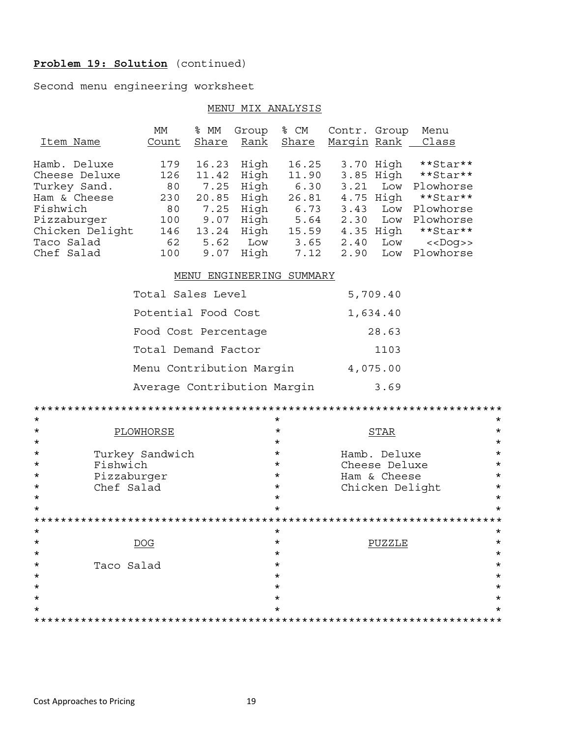## Problem 19: Solution (continued)

Second menu engineering worksheet

### MENU MIX ANALYSIS

|                                | МM                       | % MM      | Group       | % CM                | Contr. Group       |                 | Menu                                     |          |
|--------------------------------|--------------------------|-----------|-------------|---------------------|--------------------|-----------------|------------------------------------------|----------|
| Item Name                      | Count                    | Share     | <u>Rank</u> | <u>Share</u>        | <u>Marqin</u> Rank |                 | Class                                    |          |
|                                |                          |           |             |                     |                    |                 |                                          |          |
| Hamb. Deluxe                   | 179                      | 16.23     | High        | 16.25               |                    | 3.70 High       | **Star**                                 |          |
| Cheese Deluxe                  | 126                      | 11.42     | High        | 11.90               |                    | 3.85 High       | **Star**                                 |          |
| Turkey Sand.                   | 80                       | 7.25      | High        | 6.30                |                    |                 | 3.21 Low Plowhorse                       |          |
| Ham & Cheese                   | 230                      |           | 20.85 High  | 26.81<br>6.73       | 4.75 High          |                 | **Star**                                 |          |
| Fishwich                       | 80                       | 7.25 High |             | 5.64                |                    |                 | 3.43 Low Plowhorse<br>2.30 Low Plowhorse |          |
| Pizzaburger<br>Chicken Delight | 100<br>146               |           | 9.07 High   | 15.59               |                    |                 | **Star**                                 |          |
| Taco Salad                     | 62                       | 5.62 Low  | 13.24 High  | 3.65                | 4.35 High          | 2.40 Low        | $<<$ Dog>>                               |          |
| Chef Salad                     | 100                      |           | $9.07$ High | 7.12                |                    | 2.90 Low        | Plowhorse                                |          |
|                                |                          |           |             |                     |                    |                 |                                          |          |
|                                | MENU                     |           |             | ENGINEERING SUMMARY |                    |                 |                                          |          |
|                                | Total Sales Level        |           |             |                     |                    | 5,709.40        |                                          |          |
|                                | Potential Food Cost      |           |             |                     |                    | 1,634.40        |                                          |          |
|                                | Food Cost Percentage     |           |             |                     |                    | 28.63           |                                          |          |
|                                |                          |           |             |                     |                    |                 |                                          |          |
|                                | Total Demand Factor      |           |             |                     |                    | 1103            |                                          |          |
|                                | Menu Contribution Margin |           |             |                     |                    | 4,075.00        |                                          |          |
| Average Contribution Margin    |                          |           |             |                     |                    | 3.69            |                                          |          |
|                                |                          |           |             |                     |                    |                 |                                          |          |
| $^\star$                       |                          |           |             | $\star$             |                    |                 |                                          | $^\star$ |
| *                              | PLOWHORSE                |           |             | $^\star$            |                    | <b>STAR</b>     |                                          | $^\star$ |
| $^\star$                       |                          |           |             | $\star$             |                    |                 |                                          | $^\star$ |
| *                              | Turkey Sandwich          |           |             | $\star$             |                    | Hamb. Deluxe    |                                          | $^\star$ |
| Fishwich<br>*                  |                          |           |             | $\star$             |                    | Cheese Deluxe   |                                          | $\star$  |
| *                              | Pizzaburger              |           |             | $\star$             |                    | Ham & Cheese    |                                          | $\star$  |
| Chef Salad<br>*                |                          |           |             | $\star$             |                    | Chicken Delight |                                          | $\star$  |
| $^\star$                       |                          |           |             | $\star$             |                    |                 |                                          | $\star$  |
| *                              |                          |           |             | $\star$             |                    |                 |                                          | $\star$  |
|                                |                          |           |             |                     |                    |                 |                                          |          |
| $\star$                        |                          |           |             | $\star$             |                    |                 |                                          | $^\star$ |
| $^\star$                       | $\overline{DOG}$         |           |             | $\star$             |                    | <b>PUZZLE</b>   |                                          | *        |
| *                              |                          |           |             | *                   |                    |                 |                                          | *        |
| Taco Salad<br>*                |                          |           |             | *<br>*              |                    |                 |                                          | *        |
| *<br>*                         |                          |           |             | *                   |                    |                 |                                          | *<br>*   |
| *                              |                          |           |             | *                   |                    |                 |                                          | *        |
| *                              |                          |           |             | *                   |                    |                 |                                          | *        |
|                                |                          |           |             |                     |                    |                 |                                          |          |